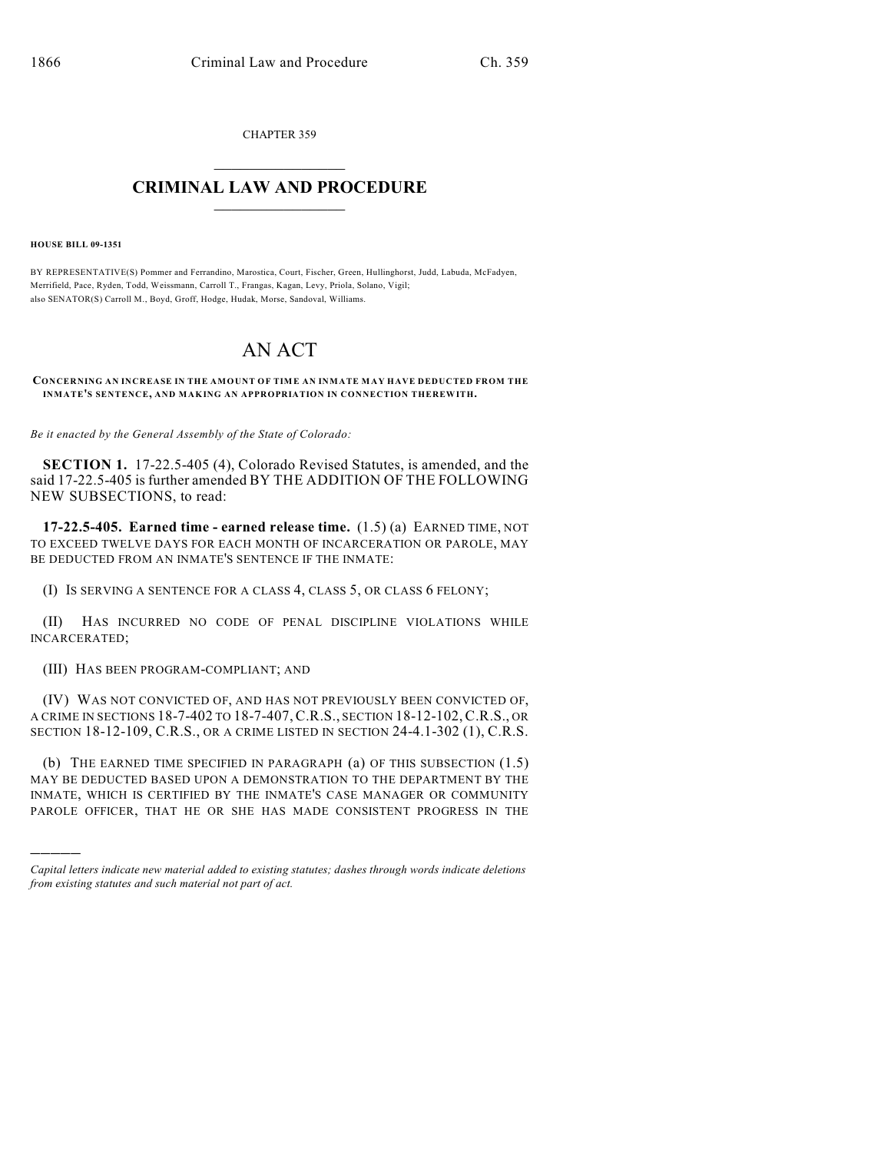CHAPTER 359  $\overline{\phantom{a}}$  . The set of the set of the set of the set of the set of the set of the set of the set of the set of the set of the set of the set of the set of the set of the set of the set of the set of the set of the set o

## **CRIMINAL LAW AND PROCEDURE**  $\frac{1}{2}$  ,  $\frac{1}{2}$  ,  $\frac{1}{2}$  ,  $\frac{1}{2}$  ,  $\frac{1}{2}$  ,  $\frac{1}{2}$  ,  $\frac{1}{2}$

**HOUSE BILL 09-1351**

)))))

BY REPRESENTATIVE(S) Pommer and Ferrandino, Marostica, Court, Fischer, Green, Hullinghorst, Judd, Labuda, McFadyen, Merrifield, Pace, Ryden, Todd, Weissmann, Carroll T., Frangas, Kagan, Levy, Priola, Solano, Vigil; also SENATOR(S) Carroll M., Boyd, Groff, Hodge, Hudak, Morse, Sandoval, Williams.

## AN ACT

**CONCERNING AN INCREASE IN THE AMOUNT OF TIME AN INMATE MAY HAVE DEDUCTED FROM THE INMATE'S SENTENCE, AND MAKING AN APPROPRIATION IN CONNECTION THEREWITH.**

*Be it enacted by the General Assembly of the State of Colorado:*

**SECTION 1.** 17-22.5-405 (4), Colorado Revised Statutes, is amended, and the said 17-22.5-405 is further amended BY THE ADDITION OF THE FOLLOWING NEW SUBSECTIONS, to read:

**17-22.5-405. Earned time - earned release time.** (1.5) (a) EARNED TIME, NOT TO EXCEED TWELVE DAYS FOR EACH MONTH OF INCARCERATION OR PAROLE, MAY BE DEDUCTED FROM AN INMATE'S SENTENCE IF THE INMATE:

(I) IS SERVING A SENTENCE FOR A CLASS 4, CLASS 5, OR CLASS 6 FELONY;

(II) HAS INCURRED NO CODE OF PENAL DISCIPLINE VIOLATIONS WHILE INCARCERATED;

(III) HAS BEEN PROGRAM-COMPLIANT; AND

(IV) WAS NOT CONVICTED OF, AND HAS NOT PREVIOUSLY BEEN CONVICTED OF, A CRIME IN SECTIONS 18-7-402 TO 18-7-407,C.R.S., SECTION 18-12-102,C.R.S., OR SECTION 18-12-109, C.R.S., OR A CRIME LISTED IN SECTION 24-4.1-302 (1), C.R.S.

(b) THE EARNED TIME SPECIFIED IN PARAGRAPH  $(a)$  OF THIS SUBSECTION  $(1.5)$ MAY BE DEDUCTED BASED UPON A DEMONSTRATION TO THE DEPARTMENT BY THE INMATE, WHICH IS CERTIFIED BY THE INMATE'S CASE MANAGER OR COMMUNITY PAROLE OFFICER, THAT HE OR SHE HAS MADE CONSISTENT PROGRESS IN THE

*Capital letters indicate new material added to existing statutes; dashes through words indicate deletions from existing statutes and such material not part of act.*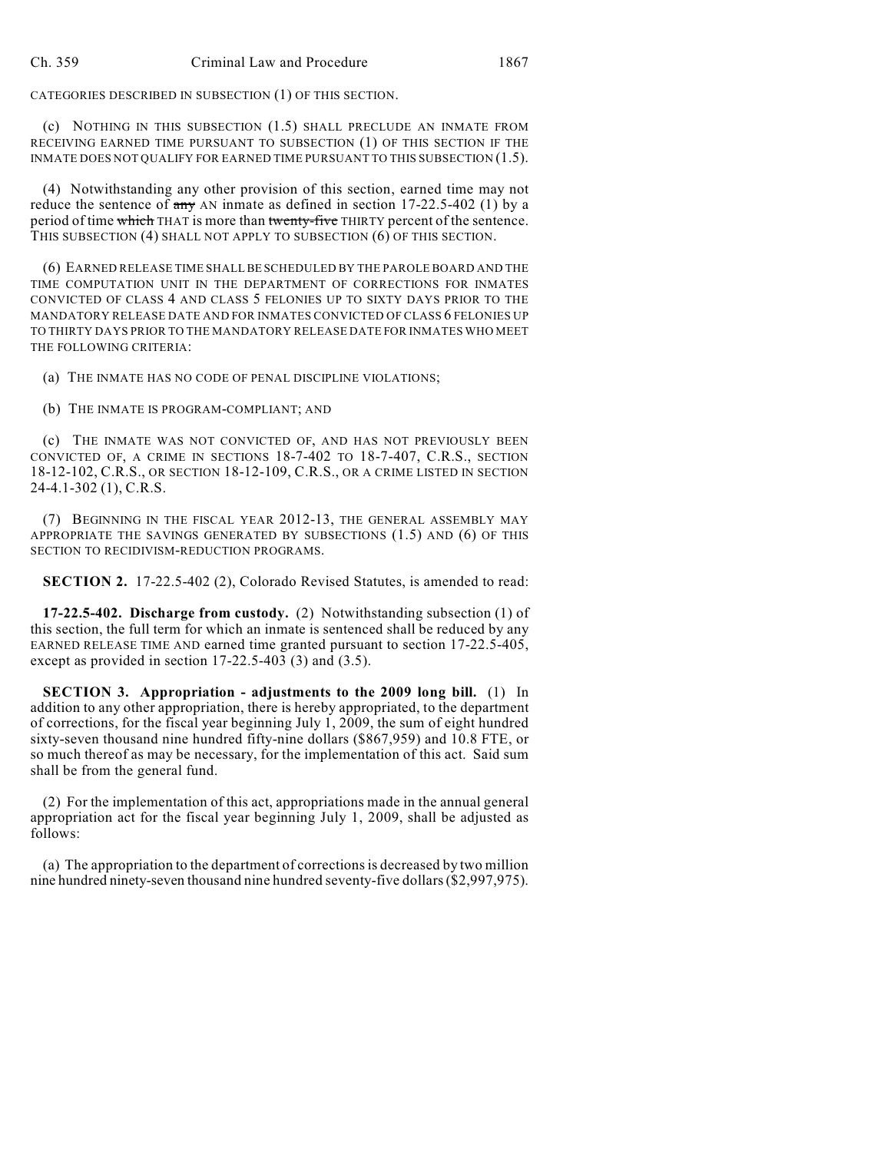CATEGORIES DESCRIBED IN SUBSECTION (1) OF THIS SECTION.

(c) NOTHING IN THIS SUBSECTION (1.5) SHALL PRECLUDE AN INMATE FROM RECEIVING EARNED TIME PURSUANT TO SUBSECTION (1) OF THIS SECTION IF THE INMATE DOES NOT QUALIFY FOR EARNED TIME PURSUANT TO THIS SUBSECTION (1.5).

(4) Notwithstanding any other provision of this section, earned time may not reduce the sentence of  $\frac{any}{any}$  AN inmate as defined in section 17-22.5-402 (1) by a period of time which THAT is more than twenty-five THIRTY percent of the sentence. THIS SUBSECTION (4) SHALL NOT APPLY TO SUBSECTION (6) OF THIS SECTION.

(6) EARNED RELEASE TIME SHALL BE SCHEDULED BY THE PAROLE BOARD AND THE TIME COMPUTATION UNIT IN THE DEPARTMENT OF CORRECTIONS FOR INMATES CONVICTED OF CLASS 4 AND CLASS 5 FELONIES UP TO SIXTY DAYS PRIOR TO THE MANDATORY RELEASE DATE AND FOR INMATES CONVICTED OF CLASS 6 FELONIES UP TO THIRTY DAYS PRIOR TO THE MANDATORY RELEASE DATE FOR INMATES WHO MEET THE FOLLOWING CRITERIA:

(a) THE INMATE HAS NO CODE OF PENAL DISCIPLINE VIOLATIONS;

(b) THE INMATE IS PROGRAM-COMPLIANT; AND

(c) THE INMATE WAS NOT CONVICTED OF, AND HAS NOT PREVIOUSLY BEEN CONVICTED OF, A CRIME IN SECTIONS 18-7-402 TO 18-7-407, C.R.S., SECTION 18-12-102, C.R.S., OR SECTION 18-12-109, C.R.S., OR A CRIME LISTED IN SECTION 24-4.1-302 (1), C.R.S.

(7) BEGINNING IN THE FISCAL YEAR 2012-13, THE GENERAL ASSEMBLY MAY APPROPRIATE THE SAVINGS GENERATED BY SUBSECTIONS (1.5) AND (6) OF THIS SECTION TO RECIDIVISM-REDUCTION PROGRAMS.

**SECTION 2.** 17-22.5-402 (2), Colorado Revised Statutes, is amended to read:

**17-22.5-402. Discharge from custody.** (2) Notwithstanding subsection (1) of this section, the full term for which an inmate is sentenced shall be reduced by any EARNED RELEASE TIME AND earned time granted pursuant to section 17-22.5-405, except as provided in section 17-22.5-403 (3) and (3.5).

**SECTION 3. Appropriation - adjustments to the 2009 long bill.** (1) In addition to any other appropriation, there is hereby appropriated, to the department of corrections, for the fiscal year beginning July 1, 2009, the sum of eight hundred sixty-seven thousand nine hundred fifty-nine dollars (\$867,959) and 10.8 FTE, or so much thereof as may be necessary, for the implementation of this act. Said sum shall be from the general fund.

(2) For the implementation of this act, appropriations made in the annual general appropriation act for the fiscal year beginning July 1, 2009, shall be adjusted as follows:

(a) The appropriation to the department of corrections is decreased by two million nine hundred ninety-seven thousand nine hundred seventy-five dollars (\$2,997,975).